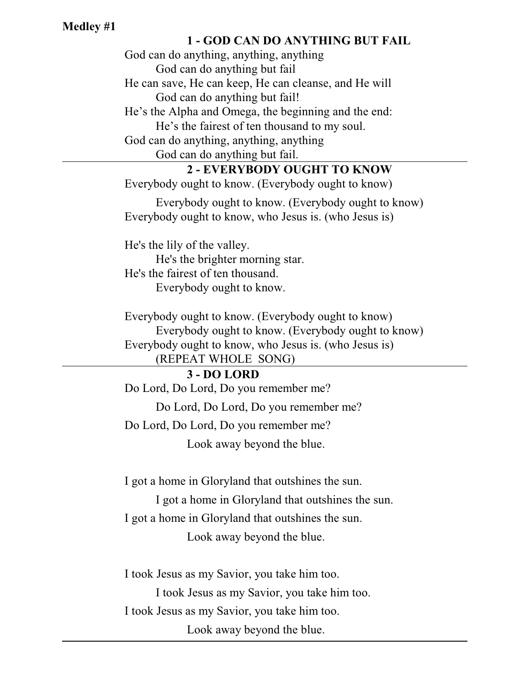## **Medley #1**

## **1 - GOD CAN DO ANYTHING BUT FAIL**

God can do anything, anything, anything God can do anything but fail He can save, He can keep, He can cleanse, and He will God can do anything but fail! He's the Alpha and Omega, the beginning and the end: He's the fairest of ten thousand to my soul. God can do anything, anything, anything God can do anything but fail. **2 - EVERYBODY OUGHT TO KNOW** Everybody ought to know. (Everybody ought to know) Everybody ought to know. (Everybody ought to know) Everybody ought to know, who Jesus is. (who Jesus is) He's the lily of the valley. He's the brighter morning star. He's the fairest of ten thousand. Everybody ought to know. Everybody ought to know. (Everybody ought to know) Everybody ought to know. (Everybody ought to know) Everybody ought to know, who Jesus is. (who Jesus is) (REPEAT WHOLE SONG) **3 - DO LORD** Do Lord, Do Lord, Do you remember me? Do Lord, Do Lord, Do you remember me? Do Lord, Do Lord, Do you remember me? Look away beyond the blue.

I got a home in Gloryland that outshines the sun.

I got a home in Gloryland that outshines the sun. I got a home in Gloryland that outshines the sun. Look away beyond the blue.

I took Jesus as my Savior, you take him too.

I took Jesus as my Savior, you take him too.

I took Jesus as my Savior, you take him too.

Look away beyond the blue.